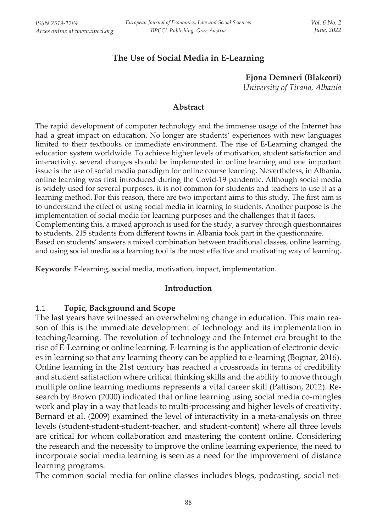# **The Use of Social Media in E-Learning**

 **Ejona Demneri (Blakcori)** *University of Tirana, Albania*

#### **Abstract**

The rapid development of computer technology and the immense usage of the Internet has had a great impact on education. No longer are students' experiences with new languages limited to their textbooks or immediate environment. The rise of E-Learning changed the education system worldwide. To achieve higher levels of motivation, student satisfaction and interactivity, several changes should be implemented in online learning and one important issue is the use of social media paradigm for online course learning. Nevertheless, in Albania, online learning was first introduced during the Covid-19 pandemic. Although social media is widely used for several purposes, it is not common for students and teachers to use it as a learning method. For this reason, there are two important aims to this study. The first aim is to understand the effect of using social media in learning to students. Another purpose is the implementation of social media for learning purposes and the challenges that it faces. Complementing this, a mixed approach is used for the study, a survey through questionnaires to students. 215 students from different towns in Albania took part in the questionnaire. Based on students' answers a mixed combination between traditional classes, online learning, and using social media as a learning tool is the most effective and motivating way of learning.

**Keywords**: E-learning, social media, motivation, impact, implementation.

#### **Introduction**

### 1.1 **Topic, Background and Scope**

The last years have witnessed an overwhelming change in education. This main reason of this is the immediate development of technology and its implementation in teaching/learning. The revolution of technology and the Internet era brought to the rise of E-Learning or online learning. E-learning is the application of electronic devices in learning so that any learning theory can be applied to e-learning (Bognar, 2016). Online learning in the 21st century has reached a crossroads in terms of credibility and student satisfaction where critical thinking skills and the ability to move through multiple online learning mediums represents a vital career skill (Pattison, 2012). Research by Brown (2000) indicated that online learning using social media co-mingles work and play in a way that leads to multi-processing and higher levels of creativity. Bernard et al. (2009) examined the level of interactivity in a meta-analysis on three levels (student-student-student-teacher, and student-content) where all three levels are critical for whom collaboration and mastering the content online. Considering the research and the necessity to improve the online learning experience, the need to incorporate social media learning is seen as a need for the improvement of distance learning programs.

The common social media for online classes includes blogs, podcasting, social net-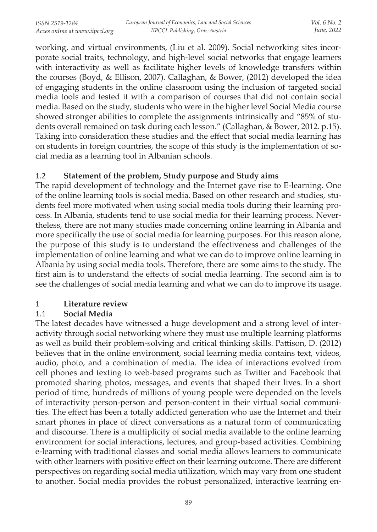working, and virtual environments, (Liu et al. 2009). Social networking sites incorporate social traits, technology, and high-level social networks that engage learners with interactivity as well as facilitate higher levels of knowledge transfers within the courses (Boyd, & Ellison, 2007). Callaghan, & Bower, (2012) developed the idea of engaging students in the online classroom using the inclusion of targeted social media tools and tested it with a comparison of courses that did not contain social media. Based on the study, students who were in the higher level Social Media course showed stronger abilities to complete the assignments intrinsically and "85% of students overall remained on task during each lesson." (Callaghan, & Bower, 2012. p.15). Taking into consideration these studies and the effect that social media learning has on students in foreign countries, the scope of this study is the implementation of social media as a learning tool in Albanian schools.

### 1.2 **Statement of the problem, Study purpose and Study aims**

The rapid development of technology and the Internet gave rise to E-learning. One of the online learning tools is social media. Based on other research and studies, students feel more motivated when using social media tools during their learning process. In Albania, students tend to use social media for their learning process. Nevertheless, there are not many studies made concerning online learning in Albania and more specifically the use of social media for learning purposes. For this reason alone, the purpose of this study is to understand the effectiveness and challenges of the implementation of online learning and what we can do to improve online learning in Albania by using social media tools. Therefore, there are some aims to the study. The first aim is to understand the effects of social media learning. The second aim is to see the challenges of social media learning and what we can do to improve its usage.

## 1 **Literature review**

## 1.1 **Social Media**

The latest decades have witnessed a huge development and a strong level of interactivity through social networking where they must use multiple learning platforms as well as build their problem-solving and critical thinking skills. Pattison, D. (2012) believes that in the online environment, social learning media contains text, videos, audio, photo, and a combination of media. The idea of interactions evolved from cell phones and texting to web-based programs such as Twitter and Facebook that promoted sharing photos, messages, and events that shaped their lives. In a short period of time, hundreds of millions of young people were depended on the levels of interactivity person-person and person-content in their virtual social communities. The effect has been a totally addicted generation who use the Internet and their smart phones in place of direct conversations as a natural form of communicating and discourse. There is a multiplicity of social media available to the online learning environment for social interactions, lectures, and group-based activities. Combining e-learning with traditional classes and social media allows learners to communicate with other learners with positive effect on their learning outcome. There are different perspectives on regarding social media utilization, which may vary from one student to another. Social media provides the robust personalized, interactive learning en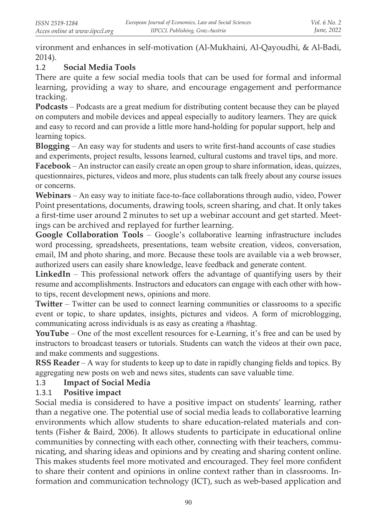vironment and enhances in self-motivation (Al-Mukhaini, Al-Qayoudhi, & Al-Badi, 2014).

## 1.2 **Social Media Tools**

There are quite a few social media tools that can be used for formal and informal learning, providing a way to share, and encourage engagement and performance tracking.

**Podcasts** – Podcasts are a great medium for distributing content because they can be played on computers and mobile devices and appeal especially to auditory learners. They are quick and easy to record and can provide a little more hand-holding for popular support, help and learning topics.

**Blogging** – An easy way for students and users to write first-hand accounts of case studies and experiments, project results, lessons learned, cultural customs and travel tips, and more.

**Facebook** – An instructor can easily create an open group to share information, ideas, quizzes, questionnaires, pictures, videos and more, plus students can talk freely about any course issues or concerns.

**Webinars** – An easy way to initiate face-to-face collaborations through audio, video, Power Point presentations, documents, drawing tools, screen sharing, and chat. It only takes a first-time user around 2 minutes to set up a webinar account and get started. Meetings can be archived and replayed for further learning.

**Google Collaboration Tools** – Google's collaborative learning infrastructure includes word processing, spreadsheets, presentations, team website creation, videos, conversation, email, IM and photo sharing, and more. Because these tools are available via a web browser, authorized users can easily share knowledge, leave feedback and generate content.

**LinkedIn** – This professional network offers the advantage of quantifying users by their resume and accomplishments. Instructors and educators can engage with each other with howto tips, recent development news, opinions and more.

**Twitter** – Twitter can be used to connect learning communities or classrooms to a specific event or topic, to share updates, insights, pictures and videos. A form of microblogging, communicating across individuals is as easy as creating a #hashtag.

**YouTube** – One of the most excellent resources for e-Learning, it's free and can be used by instructors to broadcast teasers or tutorials. Students can watch the videos at their own pace, and make comments and suggestions.

**RSS Reader** – A way for students to keep up to date in rapidly changing fields and topics. By aggregating new posts on web and news sites, students can save valuable time.

## 1.3 **Impact of Social Media**

## 1.3.1 **Positive impact**

Social media is considered to have a positive impact on students' learning, rather than a negative one. The potential use of social media leads to collaborative learning environments which allow students to share education-related materials and contents (Fisher & Baird, 2006). It allows students to participate in educational online communities by connecting with each other, connecting with their teachers, communicating, and sharing ideas and opinions and by creating and sharing content online. This makes students feel more motivated and encouraged. They feel more confident to share their content and opinions in online context rather than in classrooms. Information and communication technology (ICT), such as web-based application and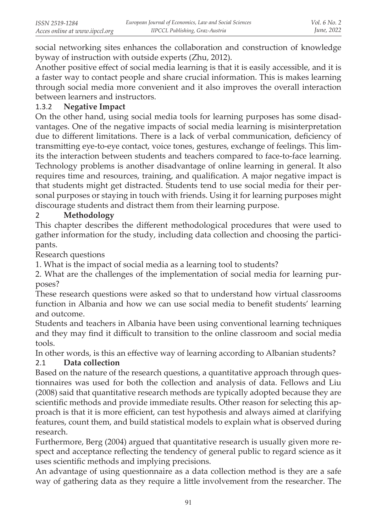social networking sites enhances the collaboration and construction of knowledge byway of instruction with outside experts (Zhu, 2012).

Another positive effect of social media learning is that it is easily accessible, and it is a faster way to contact people and share crucial information. This is makes learning through social media more convenient and it also improves the overall interaction between learners and instructors.

#### 1.3.2 **Negative Impact**

On the other hand, using social media tools for learning purposes has some disadvantages. One of the negative impacts of social media learning is misinterpretation due to different limitations. There is a lack of verbal communication, deficiency of transmitting eye-to-eye contact, voice tones, gestures, exchange of feelings. This limits the interaction between students and teachers compared to face-to-face learning. Technology problems is another disadvantage of online learning in general. It also requires time and resources, training, and qualification. A major negative impact is that students might get distracted. Students tend to use social media for their personal purposes or staying in touch with friends. Using it for learning purposes might discourage students and distract them from their learning purpose.

### 2 **Methodology**

This chapter describes the different methodological procedures that were used to gather information for the study, including data collection and choosing the participants.

Research questions

1. What is the impact of social media as a learning tool to students?

2. What are the challenges of the implementation of social media for learning purposes?

These research questions were asked so that to understand how virtual classrooms function in Albania and how we can use social media to benefit students' learning and outcome.

Students and teachers in Albania have been using conventional learning techniques and they may find it difficult to transition to the online classroom and social media tools.

In other words, is this an effective way of learning according to Albanian students?

### 2.1 **Data collection**

Based on the nature of the research questions, a quantitative approach through questionnaires was used for both the collection and analysis of data. Fellows and Liu (2008) said that quantitative research methods are typically adopted because they are scientific methods and provide immediate results. Other reason for selecting this approach is that it is more efficient, can test hypothesis and always aimed at clarifying features, count them, and build statistical models to explain what is observed during research.

Furthermore, Berg (2004) argued that quantitative research is usually given more respect and acceptance reflecting the tendency of general public to regard science as it uses scientific methods and implying precisions.

An advantage of using questionnaire as a data collection method is they are a safe way of gathering data as they require a little involvement from the researcher. The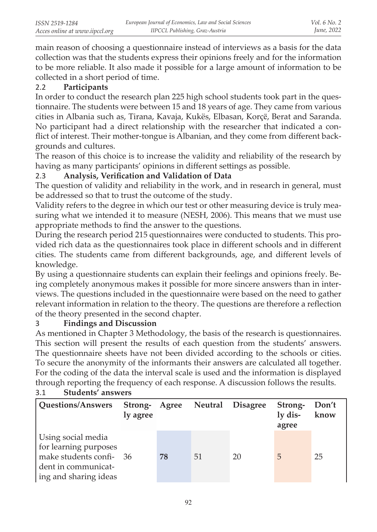main reason of choosing a questionnaire instead of interviews as a basis for the data collection was that the students express their opinions freely and for the information to be more reliable. It also made it possible for a large amount of information to be collected in a short period of time.

### 2.2 **Participants**

In order to conduct the research plan 225 high school students took part in the questionnaire. The students were between 15 and 18 years of age. They came from various cities in Albania such as, Tirana, Kavaja, Kukës, Elbasan, Korçë, Berat and Saranda. No participant had a direct relationship with the researcher that indicated a conflict of interest. Their mother-tongue is Albanian, and they come from different backgrounds and cultures.

The reason of this choice is to increase the validity and reliability of the research by having as many participants' opinions in different settings as possible.

## 2.3 **Analysis, Verification and Validation of Data**

The question of validity and reliability in the work, and in research in general, must be addressed so that to trust the outcome of the study.

Validity refers to the degree in which our test or other measuring device is truly measuring what we intended it to measure (NESH, 2006). This means that we must use appropriate methods to find the answer to the questions.

During the research period 215 questionnaires were conducted to students. This provided rich data as the questionnaires took place in different schools and in different cities. The students came from different backgrounds, age, and different levels of knowledge.

By using a questionnaire students can explain their feelings and opinions freely. Being completely anonymous makes it possible for more sincere answers than in interviews. The questions included in the questionnaire were based on the need to gather relevant information in relation to the theory. The questions are therefore a reflection of the theory presented in the second chapter.

### 3 **Findings and Discussion**

As mentioned in Chapter 3 Methodology, the basis of the research is questionnaires. This section will present the results of each question from the students' answers. The questionnaire sheets have not been divided according to the schools or cities. To secure the anonymity of the informants their answers are calculated all together. For the coding of the data the interval scale is used and the information is displayed through reporting the frequency of each response. A discussion follows the results.

| Questions/Answers                                                                                                      | ly agree |    | Strong- Agree Neutral Disagree |    | Strong-<br>ly dis-<br>agree | Don't<br>know |
|------------------------------------------------------------------------------------------------------------------------|----------|----|--------------------------------|----|-----------------------------|---------------|
| Using social media<br>for learning purposes<br>make students confi- 36<br>dent in communicat-<br>ing and sharing ideas |          | 78 | 51                             | 20 | 5                           | 25            |

#### 3.1 **Students' answers**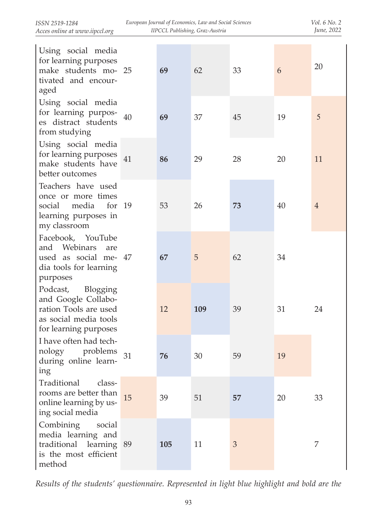| ISSN 2519-1284                 |  |
|--------------------------------|--|
| Acces online at www.iipccl.org |  |

| Using social media<br>for learning purposes<br>make students mo- 25<br>tivated and encour-<br>aged                     |     | 69  | 62  | 33 | 6  | 20             |
|------------------------------------------------------------------------------------------------------------------------|-----|-----|-----|----|----|----------------|
| Using social media<br>for learning purpos-<br>es distract students<br>from studying                                    | 40  | 69  | 37  | 45 | 19 | 5              |
| Using social media<br>for learning purposes<br>make students have<br>better outcomes                                   | 41  | 86  | 29  | 28 | 20 | 11             |
| Teachers have used<br>once or more times<br>social<br>media<br>for<br>learning purposes in<br>my classroom             | -19 | 53  | 26  | 73 | 40 | $\overline{4}$ |
| Facebook, YouTube<br>and Webinars<br>are<br>used as social me- 47<br>dia tools for learning<br>purposes                |     | 67  | 5   | 62 | 34 |                |
| Podcast,<br>Blogging<br>and Google Collabo-<br>ration Tools are used<br>as social media tools<br>for learning purposes |     | 12  | 109 | 39 | 31 | 24             |
| I have often had tech-<br>nology<br>problems<br>during online learn-<br>ing                                            | 31  | 76  | 30  | 59 | 19 |                |
| Traditional<br>class-<br>rooms are better than<br>online learning by us-<br>ing social media                           | 15  | 39  | 51  | 57 | 20 | 33             |
| Combining<br>social<br>media learning and<br>traditional learning 89<br>is the most efficient<br>method                |     | 105 | 11  | 3  |    | 7              |

*Results of the students' questionnaire. Represented in light blue highlight and bold are the*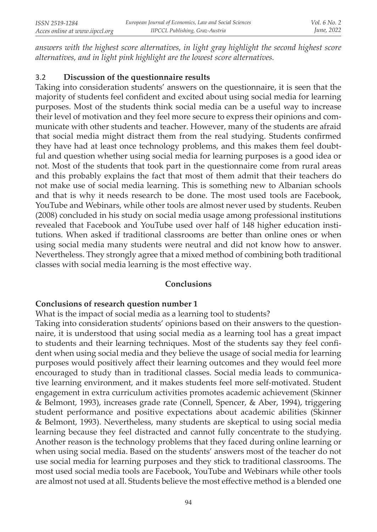*answers with the highest score alternatives, in light gray highlight the second highest score alternatives, and in light pink highlight are the lowest score alternatives.*

## 3.2 **Discussion of the questionnaire results**

Taking into consideration students' answers on the questionnaire, it is seen that the majority of students feel confident and excited about using social media for learning purposes. Most of the students think social media can be a useful way to increase their level of motivation and they feel more secure to express their opinions and communicate with other students and teacher. However, many of the students are afraid that social media might distract them from the real studying. Students confirmed they have had at least once technology problems, and this makes them feel doubtful and question whether using social media for learning purposes is a good idea or not. Most of the students that took part in the questionnaire come from rural areas and this probably explains the fact that most of them admit that their teachers do not make use of social media learning. This is something new to Albanian schools and that is why it needs research to be done. The most used tools are Facebook, YouTube and Webinars, while other tools are almost never used by students. Reuben (2008) concluded in his study on social media usage among professional institutions revealed that Facebook and YouTube used over half of 148 higher education institutions. When asked if traditional classrooms are better than online ones or when using social media many students were neutral and did not know how to answer. Nevertheless. They strongly agree that a mixed method of combining both traditional classes with social media learning is the most effective way.

### **Conclusions**

### **Conclusions of research question number 1**

What is the impact of social media as a learning tool to students?

Taking into consideration students' opinions based on their answers to the questionnaire, it is understood that using social media as a learning tool has a great impact to students and their learning techniques. Most of the students say they feel confident when using social media and they believe the usage of social media for learning purposes would positively affect their learning outcomes and they would feel more encouraged to study than in traditional classes. Social media leads to communicative learning environment, and it makes students feel more self-motivated. Student engagement in extra curriculum activities promotes academic achievement (Skinner & Belmont, 1993), increases grade rate (Connell, Spencer, & Aber, 1994), triggering student performance and positive expectations about academic abilities (Skinner & Belmont, 1993). Nevertheless, many students are skeptical to using social media learning because they feel distracted and cannot fully concentrate to the studying. Another reason is the technology problems that they faced during online learning or when using social media. Based on the students' answers most of the teacher do not use social media for learning purposes and they stick to traditional classrooms. The most used social media tools are Facebook, YouTube and Webinars while other tools are almost not used at all. Students believe the most effective method is a blended one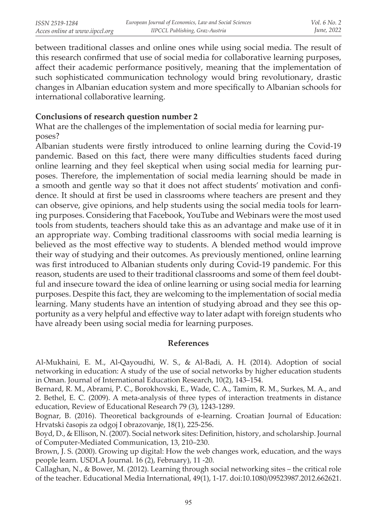between traditional classes and online ones while using social media. The result of this research confirmed that use of social media for collaborative learning purposes, affect their academic performance positively, meaning that the implementation of such sophisticated communication technology would bring revolutionary, drastic changes in Albanian education system and more specifically to Albanian schools for international collaborative learning.

#### **Conclusions of research question number 2**

What are the challenges of the implementation of social media for learning purposes?

Albanian students were firstly introduced to online learning during the Covid-19 pandemic. Based on this fact, there were many difficulties students faced during online learning and they feel skeptical when using social media for learning purposes. Therefore, the implementation of social media learning should be made in a smooth and gentle way so that it does not affect students' motivation and confidence. It should at first be used in classrooms where teachers are present and they can observe, give opinions, and help students using the social media tools for learning purposes. Considering that Facebook, YouTube and Webinars were the most used tools from students, teachers should take this as an advantage and make use of it in an appropriate way. Combing traditional classrooms with social media learning is believed as the most effective way to students. A blended method would improve their way of studying and their outcomes. As previously mentioned, online learning was first introduced to Albanian students only during Covid-19 pandemic. For this reason, students are used to their traditional classrooms and some of them feel doubtful and insecure toward the idea of online learning or using social media for learning purposes. Despite this fact, they are welcoming to the implementation of social media learning. Many students have an intention of studying abroad and they see this opportunity as a very helpful and effective way to later adapt with foreign students who have already been using social media for learning purposes.

#### **References**

Al-Mukhaini, E. M., Al-Qayoudhi, W. S., & Al-Badi, A. H. (2014). Adoption of social networking in education: A study of the use of social networks by higher education students in Oman. Journal of International Education Research, 10(2), 143–154.

Bernard, R. M., Abrami, P. C., Borokhovski, E., Wade, C. A., Tamim, R. M., Surkes, M. A., and 2. Bethel, E. C. (2009). A meta-analysis of three types of interaction treatments in distance education, Review of Educational Research 79 (3), 1243-1289.

Bognar, B. (2016). Theoretical backgrounds of e-learning. Croatian Journal of Education: Hrvatski časopis za odgoj I obrazovanje, 18(1), 225-256.

Boyd, D., & Ellison, N. (2007). Social network sites: Definition, history, and scholarship. Journal of Computer-Mediated Communication, 13, 210–230.

Brown, J. S. (2000). Growing up digital: How the web changes work, education, and the ways people learn. USDLA Journal. 16 (2), February), 11 -20.

Callaghan, N., & Bower, M. (2012). Learning through social networking sites – the critical role of the teacher. Educational Media International, 49(1), 1-17. doi:10.1080/09523987.2012.662621.